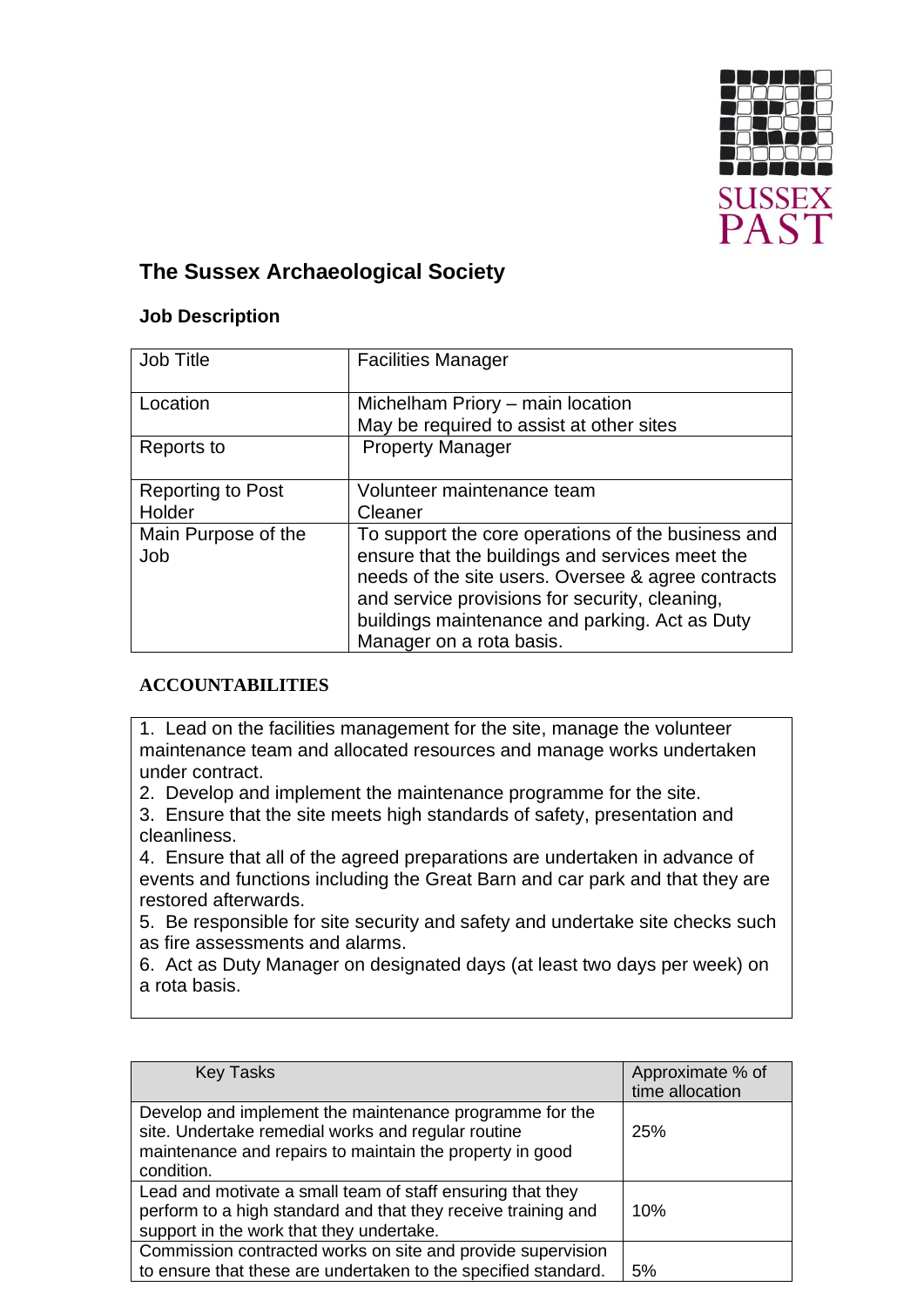

## **The Sussex Archaeological Society**

## **Job Description**

| <b>Job Title</b>           | <b>Facilities Manager</b>                                                                                                                                                                                                                                                                   |  |
|----------------------------|---------------------------------------------------------------------------------------------------------------------------------------------------------------------------------------------------------------------------------------------------------------------------------------------|--|
| Location                   | Michelham Priory – main location                                                                                                                                                                                                                                                            |  |
|                            | May be required to assist at other sites                                                                                                                                                                                                                                                    |  |
| Reports to                 | <b>Property Manager</b>                                                                                                                                                                                                                                                                     |  |
| <b>Reporting to Post</b>   | Volunteer maintenance team                                                                                                                                                                                                                                                                  |  |
| Holder                     | Cleaner                                                                                                                                                                                                                                                                                     |  |
| Main Purpose of the<br>Job | To support the core operations of the business and<br>ensure that the buildings and services meet the<br>needs of the site users. Oversee & agree contracts<br>and service provisions for security, cleaning,<br>buildings maintenance and parking. Act as Duty<br>Manager on a rota basis. |  |

## **ACCOUNTABILITIES**

1. Lead on the facilities management for the site, manage the volunteer maintenance team and allocated resources and manage works undertaken under contract.

2. Develop and implement the maintenance programme for the site.

3. Ensure that the site meets high standards of safety, presentation and cleanliness.

4. Ensure that all of the agreed preparations are undertaken in advance of events and functions including the Great Barn and car park and that they are restored afterwards.

5. Be responsible for site security and safety and undertake site checks such as fire assessments and alarms.

6. Act as Duty Manager on designated days (at least two days per week) on a rota basis.

| <b>Key Tasks</b>                                                                                                                                                                        | Approximate % of<br>time allocation |
|-----------------------------------------------------------------------------------------------------------------------------------------------------------------------------------------|-------------------------------------|
| Develop and implement the maintenance programme for the<br>site. Undertake remedial works and regular routine<br>maintenance and repairs to maintain the property in good<br>condition. | 25%                                 |
| Lead and motivate a small team of staff ensuring that they<br>perform to a high standard and that they receive training and<br>support in the work that they undertake.                 | 10%                                 |
| Commission contracted works on site and provide supervision<br>to ensure that these are undertaken to the specified standard.                                                           | 5%                                  |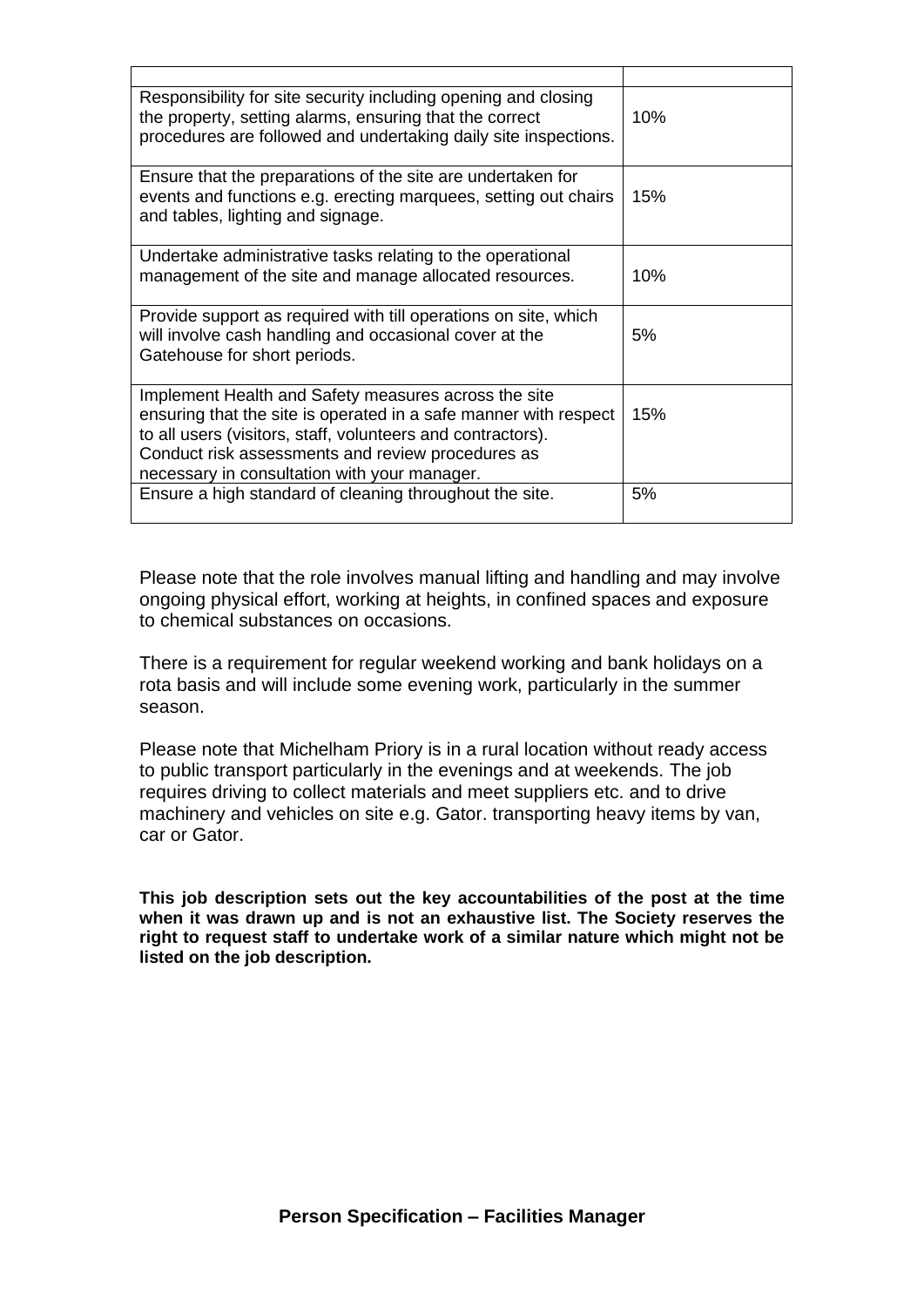| Responsibility for site security including opening and closing<br>the property, setting alarms, ensuring that the correct<br>procedures are followed and undertaking daily site inspections.                                                                                                 | 10% |
|----------------------------------------------------------------------------------------------------------------------------------------------------------------------------------------------------------------------------------------------------------------------------------------------|-----|
| Ensure that the preparations of the site are undertaken for<br>events and functions e.g. erecting marquees, setting out chairs<br>and tables, lighting and signage.                                                                                                                          | 15% |
| Undertake administrative tasks relating to the operational<br>management of the site and manage allocated resources.                                                                                                                                                                         | 10% |
| Provide support as required with till operations on site, which<br>will involve cash handling and occasional cover at the<br>Gatehouse for short periods.                                                                                                                                    | 5%  |
| Implement Health and Safety measures across the site<br>ensuring that the site is operated in a safe manner with respect<br>to all users (visitors, staff, volunteers and contractors).<br>Conduct risk assessments and review procedures as<br>necessary in consultation with your manager. | 15% |
| Ensure a high standard of cleaning throughout the site.                                                                                                                                                                                                                                      | 5%  |

Please note that the role involves manual lifting and handling and may involve ongoing physical effort, working at heights, in confined spaces and exposure to chemical substances on occasions.

There is a requirement for regular weekend working and bank holidays on a rota basis and will include some evening work, particularly in the summer season.

Please note that Michelham Priory is in a rural location without ready access to public transport particularly in the evenings and at weekends. The job requires driving to collect materials and meet suppliers etc. and to drive machinery and vehicles on site e.g. Gator. transporting heavy items by van, car or Gator.

**This job description sets out the key accountabilities of the post at the time when it was drawn up and is not an exhaustive list. The Society reserves the right to request staff to undertake work of a similar nature which might not be listed on the job description.**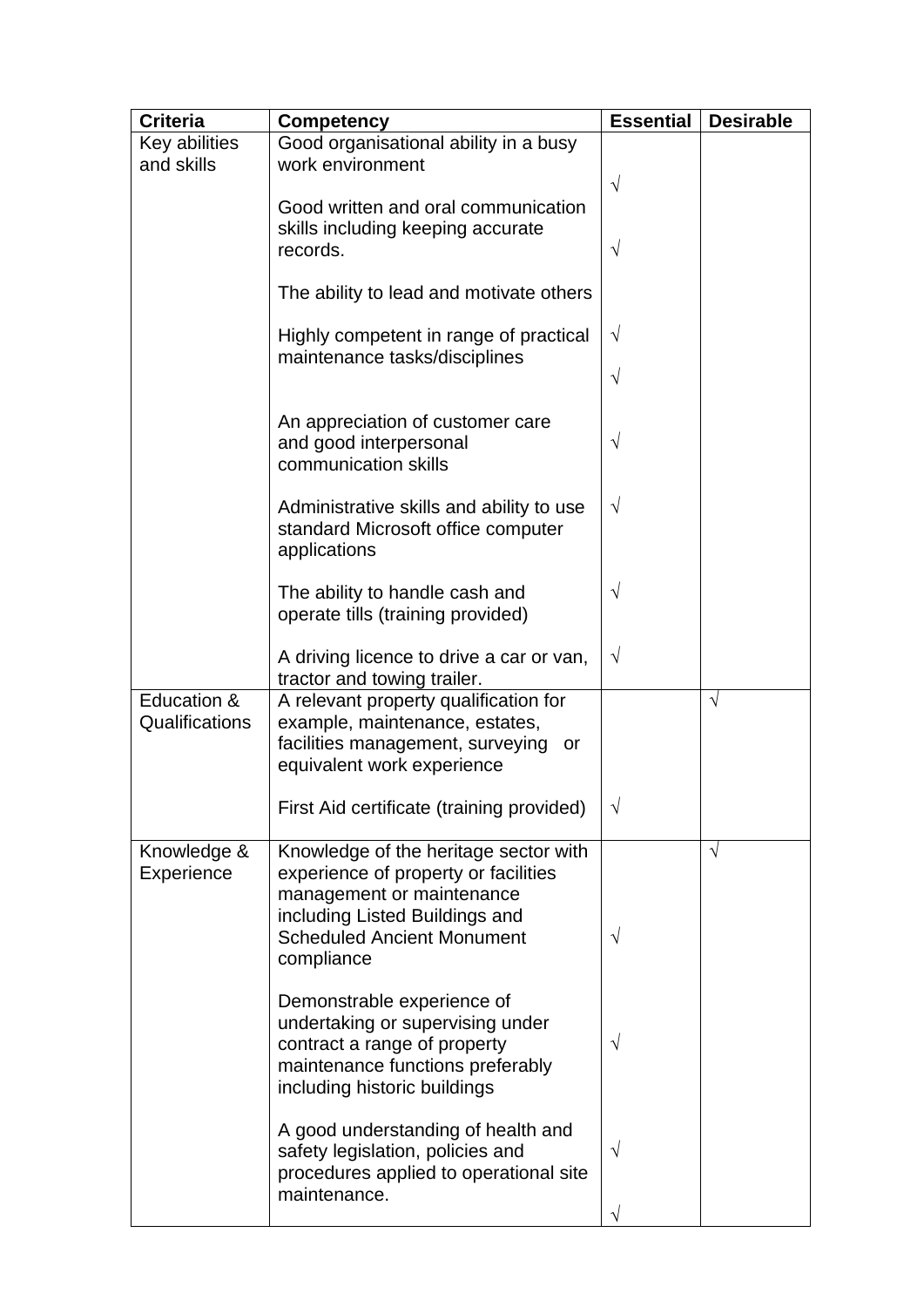| <b>Criteria</b>               | <b>Competency</b>                                                                                                                                                                               | <b>Essential</b> | <b>Desirable</b> |
|-------------------------------|-------------------------------------------------------------------------------------------------------------------------------------------------------------------------------------------------|------------------|------------------|
| Key abilities<br>and skills   | Good organisational ability in a busy<br>work environment                                                                                                                                       | $\sqrt{}$        |                  |
|                               | Good written and oral communication<br>skills including keeping accurate<br>records.                                                                                                            | V                |                  |
|                               | The ability to lead and motivate others                                                                                                                                                         |                  |                  |
|                               | Highly competent in range of practical<br>maintenance tasks/disciplines                                                                                                                         | $\sqrt{}$        |                  |
|                               |                                                                                                                                                                                                 | V                |                  |
|                               | An appreciation of customer care<br>and good interpersonal<br>communication skills                                                                                                              | $\sqrt{}$        |                  |
|                               | Administrative skills and ability to use<br>standard Microsoft office computer<br>applications                                                                                                  | V                |                  |
|                               | The ability to handle cash and<br>operate tills (training provided)                                                                                                                             | $\sqrt{}$        |                  |
|                               | A driving licence to drive a car or van,<br>tractor and towing trailer.                                                                                                                         | $\sqrt{}$        |                  |
| Education &<br>Qualifications | A relevant property qualification for<br>example, maintenance, estates,<br>facilities management, surveying<br>or<br>equivalent work experience                                                 |                  | $\sqrt{ }$       |
|                               | First Aid certificate (training provided)                                                                                                                                                       | V                |                  |
| Knowledge &<br>Experience     | Knowledge of the heritage sector with<br>experience of property or facilities<br>management or maintenance<br>including Listed Buildings and<br><b>Scheduled Ancient Monument</b><br>compliance | V                | $\sqrt{ }$       |
|                               | Demonstrable experience of<br>undertaking or supervising under<br>contract a range of property<br>maintenance functions preferably<br>including historic buildings                              | V                |                  |
|                               | A good understanding of health and<br>safety legislation, policies and<br>procedures applied to operational site<br>maintenance.                                                                | V                |                  |